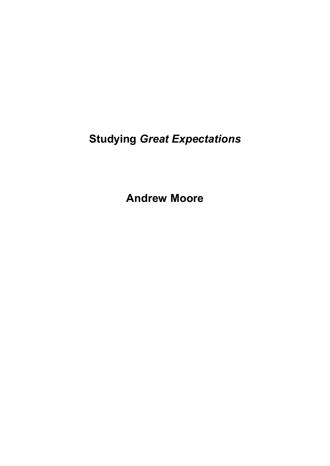**Andrew Moore**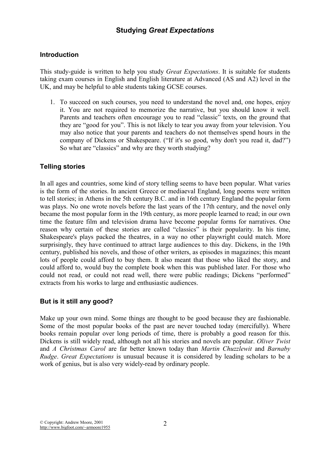## **Introduction**

This study-guide is written to help you study *Great Expectations*. It is suitable for students taking exam courses in English and English literature at Advanced (AS and A2) level in the UK, and may be helpful to able students taking GCSE courses.

1. To succeed on such courses, you need to understand the novel and, one hopes, enjoy it. You are not required to memorize the narrative, but you should know it well. Parents and teachers often encourage you to read "classic" texts, on the ground that they are "good for you". This is not likely to tear you away from your television. You may also notice that your parents and teachers do not themselves spend hours in the company of Dickens or Shakespeare. ("If it's so good, why don't you read it, dad?") So what are "classics" and why are they worth studying?

## **Telling stories**

In all ages and countries, some kind of story telling seems to have been popular. What varies is the form of the stories. In ancient Greece or mediaeval England, long poems were written to tell stories; in Athens in the 5th century B.C. and in 16th century England the popular form was plays. No one wrote novels before the last years of the 17th century, and the novel only became the most popular form in the 19th century, as more people learned to read; in our own time the feature film and television drama have become popular forms for narratives. One reason why certain of these stories are called "classics" is their popularity. In his time, Shakespeare's plays packed the theatres, in a way no other playwright could match. More surprisingly, they have continued to attract large audiences to this day. Dickens, in the 19th century, published his novels, and those of other writers, as episodes in magazines; this meant lots of people could afford to buy them. It also meant that those who liked the story, and could afford to, would buy the complete book when this was published later. For those who could not read, or could not read well, there were public readings; Dickens "performed" extracts from his works to large and enthusiastic audiences.

## **But is it still any good?**

Make up your own mind. Some things are thought to be good because they are fashionable. Some of the most popular books of the past are never touched today (mercifully). Where books remain popular over long periods of time, there is probably a good reason for this. Dickens is still widely read, although not all his stories and novels are popular. *Oliver Twist* and *A Christmas Carol* are far better known today than *Martin Chuzzlewit* and *Barnaby Rudge*. *Great Expectations* is unusual because it is considered by leading scholars to be a work of genius, but is also very widely-read by ordinary people.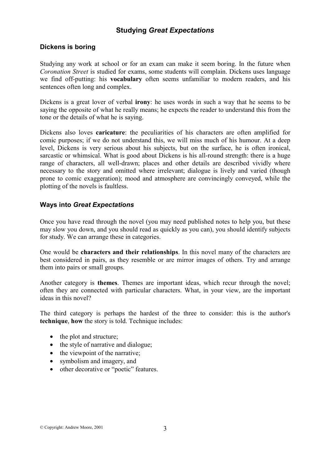### **Dickens is boring**

Studying any work at school or for an exam can make it seem boring. In the future when *Coronation Street* is studied for exams, some students will complain. Dickens uses language we find off-putting: his **vocabulary** often seems unfamiliar to modern readers, and his sentences often long and complex.

Dickens is a great lover of verbal **irony**: he uses words in such a way that he seems to be saying the opposite of what he really means; he expects the reader to understand this from the tone or the details of what he is saying.

Dickens also loves **caricature**: the peculiarities of his characters are often amplified for comic purposes; if we do not understand this, we will miss much of his humour. At a deep level, Dickens is very serious about his subjects, but on the surface, he is often ironical, sarcastic or whimsical. What is good about Dickens is his all-round strength: there is a huge range of characters, all well-drawn; places and other details are described vividly where necessary to the story and omitted where irrelevant; dialogue is lively and varied (though prone to comic exaggeration); mood and atmosphere are convincingly conveyed, while the plotting of the novels is faultless.

### **Ways into** *Great Expectations*

Once you have read through the novel (you may need published notes to help you, but these may slow you down, and you should read as quickly as you can), you should identify subjects for study. We can arrange these in categories.

One would be **characters and their relationships**. In this novel many of the characters are best considered in pairs, as they resemble or are mirror images of others. Try and arrange them into pairs or small groups.

Another category is **themes**. Themes are important ideas, which recur through the novel; often they are connected with particular characters. What, in your view, are the important ideas in this novel?

The third category is perhaps the hardest of the three to consider: this is the author's **technique**, **how** the story is told. Technique includes:

- the plot and structure;
- the style of narrative and dialogue;
- the viewpoint of the narrative;
- symbolism and imagery, and
- other decorative or "poetic" features.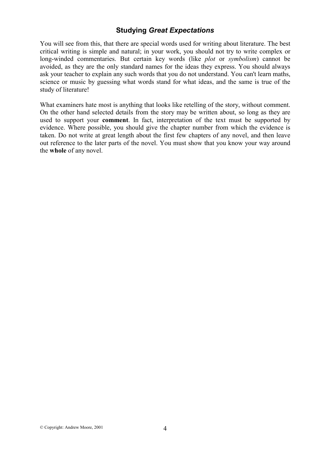You will see from this, that there are special words used for writing about literature. The best critical writing is simple and natural; in your work, you should not try to write complex or long-winded commentaries. But certain key words (like *plot* or *symbolism*) cannot be avoided, as they are the only standard names for the ideas they express. You should always ask your teacher to explain any such words that you do not understand. You can't learn maths, science or music by guessing what words stand for what ideas, and the same is true of the study of literature!

What examiners hate most is anything that looks like retelling of the story, without comment. On the other hand selected details from the story may be written about, so long as they are used to support your **comment**. In fact, interpretation of the text must be supported by evidence. Where possible, you should give the chapter number from which the evidence is taken. Do not write at great length about the first few chapters of any novel, and then leave out reference to the later parts of the novel. You must show that you know your way around the **whole** of any novel.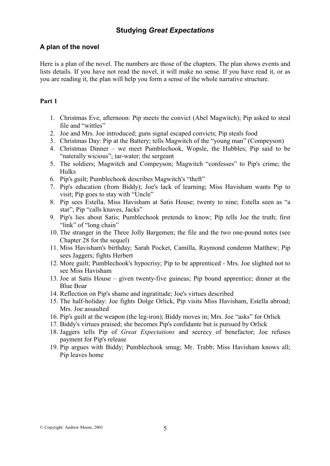### **A plan of the novel**

Here is a plan of the novel. The numbers are those of the chapters. The plan shows events and lists details. If you have not read the novel, it will make no sense. If you have read it, or as you are reading it, the plan will help you form a sense of the whole narrative structure.

### **Part 1**

- 1. Christmas Eve, afternoon: Pip meets the convict (Abel Magwitch); Pip asked to steal file and "wittles"
- 2. Joe and Mrs. Joe introduced; guns signal escaped convicts; Pip steals food
- 3. Christmas Day: Pip at the Battery; tells Magwitch of the "young man" (Compeyson)
- 4. Christmas Dinner we meet Pumblechook, Wopsle, the Hubbles; Pip said to be "naterally wicious"; tar-water; the sergeant
- 5. The soldiers; Magwitch and Compeyson; Magwitch "confesses" to Pip's crime; the Hulks
- 6. Pip's guilt; Pumblechook describes Magwitch's "theft"
- 7. Pip's education (from Biddy); Joe's lack of learning; Miss Havisham wants Pip to visit; Pip goes to stay with "Uncle"
- 8. Pip sees Estella, Miss Havisham at Satis House; twenty to nine; Estella seen as "a star"; Pip "calls knaves, Jacks"
- 9. Pip's lies about Satis; Pumblechook pretends to know; Pip tells Joe the truth; first "link" of "long chain"
- 10. The stranger in the Three Jolly Bargemen; the file and the two one-pound notes (see Chapter 28 for the sequel)
- 11. Miss Havisham's birthday; Sarah Pocket, Camilla, Raymond condemn Matthew; Pip sees Jaggers; fights Herbert
- 12. More guilt; Pumblechook's hypocrisy; Pip to be apprenticed Mrs. Joe slighted not to see Miss Havisham
- 13. Joe at Satis House given twenty-five guineas; Pip bound apprentice; dinner at the Blue Boar
- 14. Reflection on Pip's shame and ingratitude; Joe's virtues described
- 15. The half-holiday: Joe fights Dolge Orlick, Pip visits Miss Havisham, Estella abroad; Mrs. Joe assaulted
- 16. Pip's guilt at the weapon (the leg-iron); Biddy moves in; Mrs. Joe "asks" for Orlick
- 17. Biddy's virtues praised; she becomes Pip's confidante but is pursued by Orlick
- 18. Jaggers tells Pip of *Great Expectations* and secrecy of benefactor; Joe refuses payment for Pip's release
- 19. Pip argues with Biddy; Pumblechook smug; Mr. Trabb; Miss Havisham knows all; Pip leaves home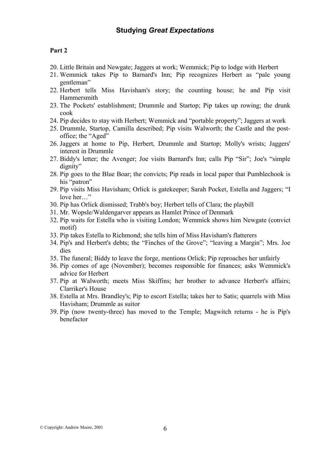### **Part 2**

- 20. Little Britain and Newgate; Jaggers at work; Wemmick; Pip to lodge with Herbert
- 21. Wemmick takes Pip to Barnard's Inn; Pip recognizes Herbert as "pale young gentleman"
- 22. Herbert tells Miss Havisham's story; the counting house; he and Pip visit Hammersmith
- 23. The Pockets' establishment; Drummle and Startop; Pip takes up rowing; the drunk cook
- 24. Pip decides to stay with Herbert; Wemmick and "portable property"; Jaggers at work
- 25. Drummle, Startop, Camilla described; Pip visits Walworth; the Castle and the postoffice; the "Aged"
- 26. Jaggers at home to Pip, Herbert, Drummle and Startop; Molly's wrists; Jaggers' interest in Drummle
- 27. Biddy's letter; the Avenger; Joe visits Barnard's Inn; calls Pip "Sir"; Joe's "simple dignity"
- 28. Pip goes to the Blue Boar; the convicts; Pip reads in local paper that Pumblechook is his "patron"
- 29. Pip visits Miss Havisham; Orlick is gatekeeper; Sarah Pocket, Estella and Jaggers; "I love her…"
- 30. Pip has Orlick dismissed; Trabb's boy; Herbert tells of Clara; the playbill
- 31. Mr. Wopsle/Waldengarver appears as Hamlet Prince of Denmark
- 32. Pip waits for Estella who is visiting London; Wemmick shows him Newgate (convict motif)
- 33. Pip takes Estella to Richmond; she tells him of Miss Havisham's flatterers
- 34. Pip's and Herbert's debts; the "Finches of the Grove"; "leaving a Margin"; Mrs. Joe dies
- 35. The funeral; Biddy to leave the forge, mentions Orlick; Pip reproaches her unfairly
- 36. Pip comes of age (November); becomes responsible for finances; asks Wemmick's advice for Herbert
- 37. Pip at Walworth; meets Miss Skiffins; her brother to advance Herbert's affairs; Clarriker's House
- 38. Estella at Mrs. Brandley's; Pip to escort Estella; takes her to Satis; quarrels with Miss Havisham; Drummle as suitor
- 39. Pip (now twenty-three) has moved to the Temple; Magwitch returns he is Pip's benefactor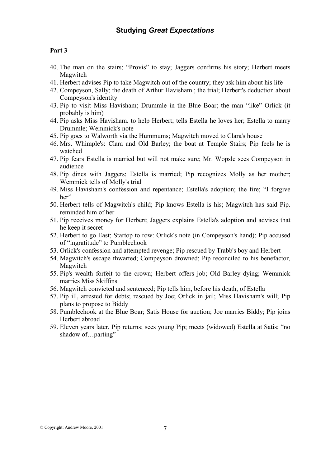## **Part 3**

- 40. The man on the stairs; "Provis" to stay; Jaggers confirms his story; Herbert meets Magwitch
- 41. Herbert advises Pip to take Magwitch out of the country; they ask him about his life
- 42. Compeyson, Sally; the death of Arthur Havisham.; the trial; Herbert's deduction about Compeyson's identity
- 43. Pip to visit Miss Havisham; Drummle in the Blue Boar; the man "like" Orlick (it probably is him)
- 44. Pip asks Miss Havisham. to help Herbert; tells Estella he loves her; Estella to marry Drummle; Wemmick's note
- 45. Pip goes to Walworth via the Hummums; Magwitch moved to Clara's house
- 46. Mrs. Whimple's: Clara and Old Barley; the boat at Temple Stairs; Pip feels he is watched
- 47. Pip fears Estella is married but will not make sure; Mr. Wopsle sees Compeyson in audience
- 48. Pip dines with Jaggers; Estella is married; Pip recognizes Molly as her mother; Wemmick tells of Molly's trial
- 49. Miss Havisham's confession and repentance; Estella's adoption; the fire; "I forgive her"
- 50. Herbert tells of Magwitch's child; Pip knows Estella is his; Magwitch has said Pip. reminded him of her
- 51. Pip receives money for Herbert; Jaggers explains Estella's adoption and advises that he keep it secret
- 52. Herbert to go East; Startop to row: Orlick's note (in Compeyson's hand); Pip accused of "ingratitude" to Pumblechook
- 53. Orlick's confession and attempted revenge; Pip rescued by Trabb's boy and Herbert
- 54. Magwitch's escape thwarted; Compeyson drowned; Pip reconciled to his benefactor, Magwitch
- 55. Pip's wealth forfeit to the crown; Herbert offers job; Old Barley dying; Wemmick marries Miss Skiffins
- 56. Magwitch convicted and sentenced; Pip tells him, before his death, of Estella
- 57. Pip ill, arrested for debts; rescued by Joe; Orlick in jail; Miss Havisham's will; Pip plans to propose to Biddy
- 58. Pumblechook at the Blue Boar; Satis House for auction; Joe marries Biddy; Pip joins Herbert abroad
- 59. Eleven years later, Pip returns; sees young Pip; meets (widowed) Estella at Satis; "no shadow of...parting"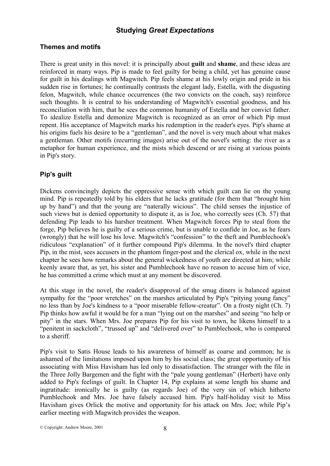### **Themes and motifs**

There is great unity in this novel: it is principally about **guilt** and **shame**, and these ideas are reinforced in many ways. Pip is made to feel guilty for being a child, yet has genuine cause for guilt in his dealings with Magwitch. Pip feels shame at his lowly origin and pride in his sudden rise in fortunes; he continually contrasts the elegant lady, Estella, with the disgusting felon, Magwitch, while chance occurrences (the two convicts on the coach, say) reinforce such thoughts. It is central to his understanding of Magwitch's essential goodness, and his reconciliation with him, that he sees the common humanity of Estella and her convict father. To idealize Estella and demonize Magwitch is recognized as an error of which Pip must repent. His acceptance of Magwitch marks his redemption in the reader's eyes. Pip's shame at his origins fuels his desire to be a "gentleman", and the novel is very much about what makes a gentleman. Other motifs (recurring images) arise out of the novel's setting: the river as a metaphor for human experience, and the mists which descend or are rising at various points in Pip's story.

## **Pip's guilt**

Dickens convincingly depicts the oppressive sense with which guilt can lie on the young mind. Pip is repeatedly told by his elders that he lacks gratitude (for them that "brought him up by hand") and that the young are "naterally wicious". The child senses the injustice of such views but is denied opportunity to dispute it, as is Joe, who correctly sees (Ch. 57) that defending Pip leads to his harsher treatment. When Magwitch forces Pip to steal from the forge, Pip believes he is guilty of a serious crime, but is unable to confide in Joe, as he fears (wrongly) that he will lose his love. Magwitch's "confession" to the theft and Pumblechook's ridiculous "explanation" of it further compound Pip's dilemma. In the novel's third chapter Pip, in the mist, sees accusers in the phantom finger-post and the clerical ox, while in the next chapter he sees how remarks about the general wickedness of youth are directed at him; while keenly aware that, as yet, his sister and Pumblechook have no reason to accuse him of vice, he has committed a crime which must at any moment be discovered.

At this stage in the novel, the reader's disapproval of the smug diners is balanced against sympathy for the "poor wretches" on the marshes articulated by Pip's "pitying young fancy" no less than by Joe's kindness to a "poor miserable fellow-creatur". On a frosty night (Ch. 7) Pip thinks how awful it would be for a man "lying out on the marshes" and seeing "no help or pity" in the stars. When Mrs. Joe prepares Pip for his visit to town, he likens himself to a "penitent in sackcloth", "trussed up" and "delivered over" to Pumblechook, who is compared to a sheriff.

Pip's visit to Satis House leads to his awareness of himself as coarse and common; he is ashamed of the limitations imposed upon him by his social class; the great opportunity of his associating with Miss Havisham has led only to dissatisfaction. The stranger with the file in the Three Jolly Bargemen and the fight with the "pale young gentleman" (Herbert) have only added to Pip's feelings of guilt. In Chapter 14, Pip explains at some length his shame and ingratitude: ironically he is guilty (as regards Joe) of the very sin of which hitherto Pumblechook and Mrs. Joe have falsely accused him. Pip's half-holiday visit to Miss Havisham gives Orlick the motive and opportunity for his attack on Mrs. Joe; while Pip's earlier meeting with Magwitch provides the weapon.

© Copyright: Andrew Moore, 2001 8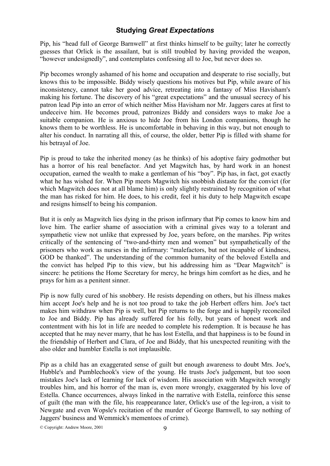Pip, his "head full of George Barnwell" at first thinks himself to be guilty; later he correctly guesses that Orlick is the assailant, but is still troubled by having provided the weapon, "however undesignedly", and contemplates confessing all to Joe, but never does so.

Pip becomes wrongly ashamed of his home and occupation and desperate to rise socially, but knows this to be impossible. Biddy wisely questions his motives but Pip, while aware of his inconsistency, cannot take her good advice, retreating into a fantasy of Miss Havisham's making his fortune. The discovery of his "great expectations" and the unusual secrecy of his patron lead Pip into an error of which neither Miss Havisham nor Mr. Jaggers cares at first to undeceive him. He becomes proud, patronizes Biddy and considers ways to make Joe a suitable companion. He is anxious to hide Joe from his London companions, though he knows them to be worthless. He is uncomfortable in behaving in this way, but not enough to alter his conduct. In narrating all this, of course, the older, better Pip is filled with shame for his betrayal of Joe.

Pip is proud to take the inherited money (as he thinks) of his adoptive fairy godmother but has a horror of his real benefactor. And yet Magwitch has, by hard work in an honest occupation, earned the wealth to make a gentleman of his "boy". Pip has, in fact, got exactly what he has wished for. When Pip meets Magwitch his snobbish distaste for the convict (for which Magwitch does not at all blame him) is only slightly restrained by recognition of what the man has risked for him. He does, to his credit, feel it his duty to help Magwitch escape and resigns himself to being his companion.

But it is only as Magwitch lies dying in the prison infirmary that Pip comes to know him and love him. The earlier shame of association with a criminal gives way to a tolerant and sympathetic view not unlike that expressed by Joe, years before, on the marshes. Pip writes critically of the sentencing of "two-and-thirty men and women" but sympathetically of the prisoners who work as nurses in the infirmary: "malefactors, but not incapable of kindness, GOD be thanked". The understanding of the common humanity of the beloved Estella and the convict has helped Pip to this view, but his addressing him as "Dear Magwitch" is sincere: he petitions the Home Secretary for mercy, he brings him comfort as he dies, and he prays for him as a penitent sinner.

Pip is now fully cured of his snobbery. He resists depending on others, but his illness makes him accept Joe's help and he is not too proud to take the job Herbert offers him. Joe's tact makes him withdraw when Pip is well, but Pip returns to the forge and is happily reconciled to Joe and Biddy. Pip has already suffered for his folly, but years of honest work and contentment with his lot in life are needed to complete his redemption. It is because he has accepted that he may never marry, that he has lost Estella, and that happiness is to be found in the friendship of Herbert and Clara, of Joe and Biddy, that his unexpected reuniting with the also older and humbler Estella is not implausible.

Pip as a child has an exaggerated sense of guilt but enough awareness to doubt Mrs. Joe's, Hubble's and Pumblechook's view of the young. He trusts Joe's judgement, but too soon mistakes Joe's lack of learning for lack of wisdom. His association with Magwitch wrongly troubles him, and his horror of the man is, even more wrongly, exaggerated by his love of Estella. Chance occurrences, always linked in the narrative with Estella, reinforce this sense of guilt (the man with the file, his reappearance later, Orlick's use of the leg-iron, a visit to Newgate and even Wopsle's recitation of the murder of George Barnwell, to say nothing of Jaggers' business and Wemmick's mementoes of crime).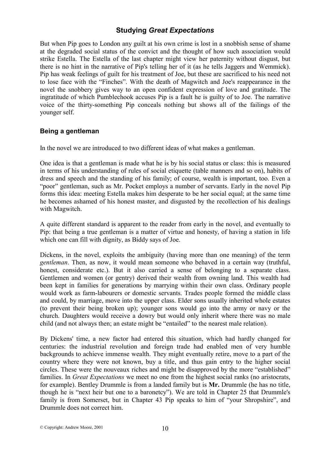But when Pip goes to London any guilt at his own crime is lost in a snobbish sense of shame at the degraded social status of the convict and the thought of how such association would strike Estella. The Estella of the last chapter might view her paternity without disgust, but there is no hint in the narrative of Pip's telling her of it (as he tells Jaggers and Wemmick). Pip has weak feelings of guilt for his treatment of Joe, but these are sacrificed to his need not to lose face with the "Finches". With the death of Magwitch and Joe's reappearance in the novel the snobbery gives way to an open confident expression of love and gratitude. The ingratitude of which Pumblechook accuses Pip is a fault he is guilty of to Joe. The narrative voice of the thirty-something Pip conceals nothing but shows all of the failings of the younger self.

## **Being a gentleman**

In the novel we are introduced to two different ideas of what makes a gentleman.

One idea is that a gentleman is made what he is by his social status or class: this is measured in terms of his understanding of rules of social etiquette (table manners and so on), habits of dress and speech and the standing of his family; of course, wealth is important, too. Even a "poor" gentleman, such as Mr. Pocket employs a number of servants. Early in the novel Pip forms this idea: meeting Estella makes him desperate to be her social equal; at the same time he becomes ashamed of his honest master, and disgusted by the recollection of his dealings with Magwitch.

A quite different standard is apparent to the reader from early in the novel, and eventually to Pip: that being a true gentleman is a matter of virtue and honesty, of having a station in life which one can fill with dignity, as Biddy says of Joe.

Dickens, in the novel, exploits the ambiguity (having more than one meaning) of the term *gentleman*. Then, as now, it would mean someone who behaved in a certain way (truthful, honest, considerate etc.). But it also carried a sense of belonging to a separate class. Gentlemen and women (or gentry) derived their wealth from owning land. This wealth had been kept in families for generations by marrying within their own class. Ordinary people would work as farm-labourers or domestic servants. Trades people formed the middle class and could, by marriage, move into the upper class. Elder sons usually inherited whole estates (to prevent their being broken up); younger sons would go into the army or navy or the church. Daughters would receive a dowry but would only inherit where there was no male child (and not always then; an estate might be "entailed" to the nearest male relation).

By Dickens' time, a new factor had entered this situation, which had hardly changed for centuries: the industrial revolution and foreign trade had enabled men of very humble backgrounds to achieve immense wealth. They might eventually retire, move to a part of the country where they were not known, buy a title, and thus gain entry to the higher social circles. These were the nouveaux riches and might be disapproved by the more "established" families. In *Great Expectations* we meet no one from the highest social ranks (no aristocrats, for example). Bentley Drummle is from a landed family but is **Mr.** Drummle (he has no title, though he is "next heir but one to a baronetcy"). We are told in Chapter 25 that Drummle's family is from Somerset, but in Chapter 43 Pip speaks to him of "your Shropshire", and Drummle does not correct him.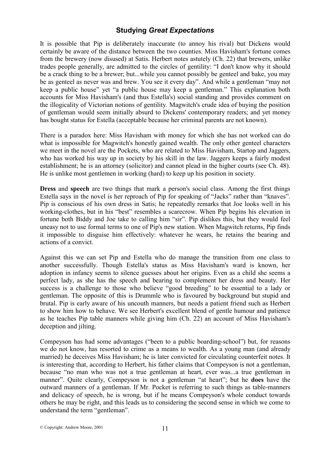It is possible that Pip is deliberately inaccurate (to annoy his rival) but Dickens would certainly be aware of the distance between the two counties. Miss Havisham's fortune comes from the brewery (now disused) at Satis. Herbert notes astutely (Ch. 22) that brewers, unlike trades people generally, are admitted to the circles of gentility: "I don't know why it should be a crack thing to be a brewer; but...while you cannot possibly be genteel and bake, you may be as genteel as never was and brew. You see it every day". And while a gentleman "may not keep a public house" yet "a public house may keep a gentleman." This explanation both accounts for Miss Havisham's (and thus Estella's) social standing and provides comment on the illogicality of Victorian notions of gentility. Magwitch's crude idea of buying the position of gentleman would seem initially absurd to Dickens' contemporary readers; and yet money has bought status for Estella (acceptable because her criminal parents are not known).

There is a paradox here: Miss Havisham with money for which she has not worked can do what is impossible for Magwitch's honestly gained wealth. The only other genteel characters we meet in the novel are the Pockets, who are related to Miss Havisham, Startop and Jaggers, who has worked his way up in society by his skill in the law. Jaggers keeps a fairly modest establishment; he is an attorney (solicitor) and cannot plead in the higher courts (see Ch. 48). He is unlike most gentlemen in working (hard) to keep up his position in society.

**Dress** and **speech** are two things that mark a person's social class. Among the first things Estella says in the novel is her reproach of Pip for speaking of "Jacks" rather than "knaves". Pip is conscious of his own dress in Satis; he repeatedly remarks that Joe looks well in his working-clothes, but in his "best" resembles a scarecrow. When Pip begins his elevation in fortune both Biddy and Joe take to calling him "sir". Pip dislikes this, but they would feel uneasy not to use formal terms to one of Pip's new station. When Magwitch returns, Pip finds it impossible to disguise him effectively: whatever he wears, he retains the bearing and actions of a convict.

Against this we can set Pip and Estella who do manage the transition from one class to another successfully. Though Estella's status as Miss Havisham's ward is known, her adoption in infancy seems to silence guesses about her origins. Even as a child she seems a perfect lady, as she has the speech and bearing to complement her dress and beauty. Her success is a challenge to those who believe "good breeding" to be essential to a lady or gentleman. The opposite of this is Drummle who is favoured by background but stupid and brutal. Pip is early aware of his uncouth manners, but needs a patient friend such as Herbert to show him how to behave. We see Herbert's excellent blend of gentle humour and patience as he teaches Pip table manners while giving him (Ch. 22) an account of Miss Havisham's deception and jilting.

Compeyson has had some advantages ("been to a public boarding-school") but, for reasons we do not know, has resorted to crime as a means to wealth. As a young man (and already married) he deceives Miss Havisham; he is later convicted for circulating counterfeit notes. It is interesting that, according to Herbert, his father claims that Compeyson is not a gentleman, because "no man who was not a true gentleman at heart, ever was...a true gentleman in manner". Quite clearly, Compeyson is not a gentleman "at heart"; but he **does** have the outward manners of a gentleman. If Mr. Pocket is referring to such things as table-manners and delicacy of speech, he is wrong, but if he means Compeyson's whole conduct towards others he may be right, and this leads us to considering the second sense in which we come to understand the term "gentleman".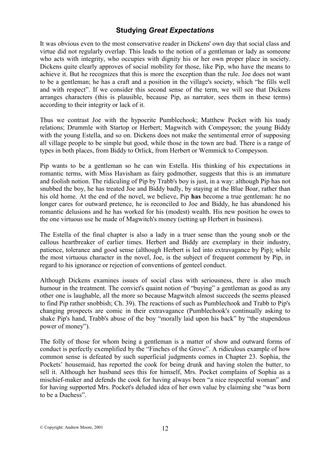It was obvious even to the most conservative reader in Dickens' own day that social class and virtue did not regularly overlap. This leads to the notion of a gentleman or lady as someone who acts with integrity, who occupies with dignity his or her own proper place in society. Dickens quite clearly approves of social mobility for those, like Pip, who have the means to achieve it. But he recognizes that this is more the exception than the rule. Joe does not want to be a gentleman; he has a craft and a position in the village's society, which "he fills well and with respect". If we consider this second sense of the term, we will see that Dickens arranges characters (this is plausible, because Pip, as narrator, sees them in these terms) according to their integrity or lack of it.

Thus we contrast Joe with the hypocrite Pumblechook; Matthew Pocket with his toady relations; Drummle with Startop or Herbert; Magwitch with Compeyson; the young Biddy with the young Estella, and so on. Dickens does not make the sentimental error of supposing all village people to be simple but good, while those in the town are bad. There is a range of types in both places, from Biddy to Orlick, from Herbert or Wemmick to Compeyson.

Pip wants to be a gentleman so he can win Estella. His thinking of his expectations in romantic terms, with Miss Havisham as fairy godmother, suggests that this is an immature and foolish notion. The ridiculing of Pip by Trabb's boy is just, in a way: although Pip has not snubbed the boy, he has treated Joe and Biddy badly, by staying at the Blue Boar, rather than his old home. At the end of the novel, we believe, Pip **has** become a true gentleman: he no longer cares for outward pretence, he is reconciled to Joe and Biddy, he has abandoned his romantic delusions and he has worked for his (modest) wealth. His new position he owes to the one virtuous use he made of Magwitch's money (setting up Herbert in business).

The Estella of the final chapter is also a lady in a truer sense than the young snob or the callous heartbreaker of earlier times. Herbert and Biddy are exemplary in their industry, patience, tolerance and good sense (although Herbert is led into extravagance by Pip); while the most virtuous character in the novel, Joe, is the subject of frequent comment by Pip, in regard to his ignorance or rejection of conventions of genteel conduct.

Although Dickens examines issues of social class with seriousness, there is also much humour in the treatment. The convict's quaint notion of "buving" a gentleman as good as any other one is laughable, all the more so because Magwitch almost succeeds (he seems pleased to find Pip rather snobbish; Ch. 39). The reactions of such as Pumblechook and Trabb to Pip's changing prospects are comic in their extravagance (Pumblechook's continually asking to shake Pip's hand, Trabb's abuse of the boy "morally laid upon his back" by "the stupendous power of money").

The folly of those for whom being a gentleman is a matter of show and outward forms of conduct is perfectly exemplified by the "Finches of the Grove". A ridiculous example of how common sense is defeated by such superficial judgments comes in Chapter 23. Sophia, the Pockets' housemaid, has reported the cook for being drunk and having stolen the butter, to sell it. Although her husband sees this for himself, Mrs. Pocket complains of Sophia as a mischief-maker and defends the cook for having always been "a nice respectful woman" and for having supported Mrs. Pocket's deluded idea of her own value by claiming she "was born to be a Duchess".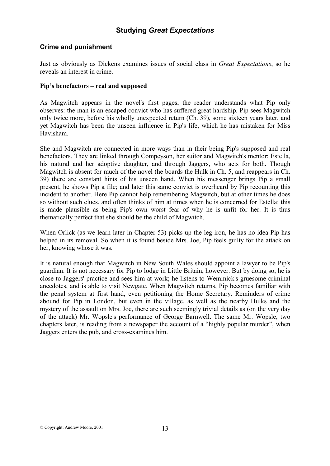### **Crime and punishment**

Just as obviously as Dickens examines issues of social class in *Great Expectations*, so he reveals an interest in crime.

### **Pip's benefactors – real and supposed**

As Magwitch appears in the novel's first pages, the reader understands what Pip only observes: the man is an escaped convict who has suffered great hardship. Pip sees Magwitch only twice more, before his wholly unexpected return (Ch. 39), some sixteen years later, and yet Magwitch has been the unseen influence in Pip's life, which he has mistaken for Miss Havisham.

She and Magwitch are connected in more ways than in their being Pip's supposed and real benefactors. They are linked through Compeyson, her suitor and Magwitch's mentor; Estella, his natural and her adoptive daughter, and through Jaggers, who acts for both. Though Magwitch is absent for much of the novel (he boards the Hulk in Ch. 5, and reappears in Ch. 39) there are constant hints of his unseen hand. When his messenger brings Pip a small present, he shows Pip a file; and later this same convict is overheard by Pip recounting this incident to another. Here Pip cannot help remembering Magwitch, but at other times he does so without such clues, and often thinks of him at times when he is concerned for Estella: this is made plausible as being Pip's own worst fear of why he is unfit for her. It is thus thematically perfect that she should be the child of Magwitch.

When Orlick (as we learn later in Chapter 53) picks up the leg-iron, he has no idea Pip has helped in its removal. So when it is found beside Mrs. Joe, Pip feels guilty for the attack on her, knowing whose it was.

It is natural enough that Magwitch in New South Wales should appoint a lawyer to be Pip's guardian. It is not necessary for Pip to lodge in Little Britain, however. But by doing so, he is close to Jaggers' practice and sees him at work; he listens to Wemmick's gruesome criminal anecdotes, and is able to visit Newgate. When Magwitch returns, Pip becomes familiar with the penal system at first hand, even petitioning the Home Secretary. Reminders of crime abound for Pip in London, but even in the village, as well as the nearby Hulks and the mystery of the assault on Mrs. Joe, there are such seemingly trivial details as (on the very day of the attack) Mr. Wopsle's performance of George Barnwell. The same Mr. Wopsle, two chapters later, is reading from a newspaper the account of a "highly popular murder", when Jaggers enters the pub, and cross-examines him.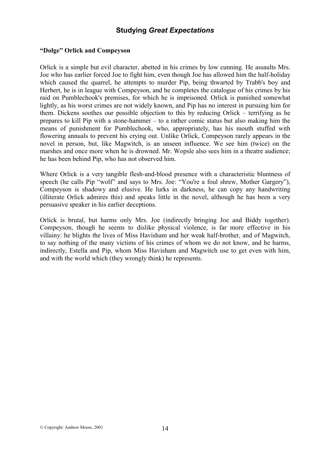### **"Dolge" Orlick and Compeyson**

Orlick is a simple but evil character, abetted in his crimes by low cunning. He assaults Mrs. Joe who has earlier forced Joe to fight him, even though Joe has allowed him the half-holiday which caused the quarrel, he attempts to murder Pip, being thwarted by Trabb's boy and Herbert, he is in league with Compeyson, and he completes the catalogue of his crimes by his raid on Pumblechook's premises, for which he is imprisoned. Orlick is punished somewhat lightly, as his worst crimes are not widely known, and Pip has no interest in pursuing him for them. Dickens soothes our possible objection to this by reducing Orlick – terrifying as he prepares to kill Pip with a stone-hammer – to a rather comic status but also making him the means of punishment for Pumblechook, who, appropriately, has his mouth stuffed with flowering annuals to prevent his crying out. Unlike Orlick, Compeyson rarely appears in the novel in person, but, like Magwitch, is an unseen influence. We see him (twice) on the marshes and once more when he is drowned. Mr. Wopsle also sees him in a theatre audience; he has been behind Pip, who has not observed him.

Where Orlick is a very tangible flesh-and-blood presence with a characteristic bluntness of speech (he calls Pip "wolf" and says to Mrs. Joe: "You're a foul shrew, Mother Gargery"), Compeyson is shadowy and elusive. He lurks in darkness, he can copy any handwriting (illiterate Orlick admires this) and speaks little in the novel, although he has been a very persuasive speaker in his earlier deceptions.

Orlick is brutal, but harms only Mrs. Joe (indirectly bringing Joe and Biddy together). Compeyson, though he seems to dislike physical violence, is far more effective in his villainy: he blights the lives of Miss Havisham and her weak half-brother, and of Magwitch, to say nothing of the many victims of his crimes of whom we do not know, and he harms, indirectly, Estella and Pip, whom Miss Havisham and Magwitch use to get even with him, and with the world which (they wrongly think) he represents.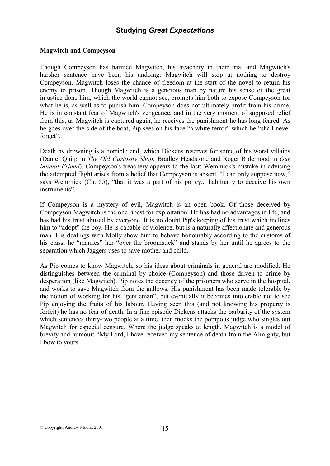### **Magwitch and Compeyson**

Though Compeyson has harmed Magwitch, his treachery in their trial and Magwitch's harsher sentence have been his undoing: Magwitch will stop at nothing to destroy Compeyson. Magwitch loses the chance of freedom at the start of the novel to return his enemy to prison. Though Magwitch is a generous man by nature his sense of the great injustice done him, which the world cannot see, prompts him both to expose Compeyson for what he is, as well as to punish him. Compeyson does not ultimately profit from his crime. He is in constant fear of Magwitch's vengeance, and in the very moment of supposed relief from this, as Magwitch is captured again, he receives the punishment he has long feared. As he goes over the side of the boat, Pip sees on his face "a white terror" which he "shall never forget".

Death by drowning is a horrible end, which Dickens reserves for some of his worst villains (Daniel Quilp in *The Old Curiosity Shop*; Bradley Headstone and Roger Riderhood in *Our Mutual Friend*). Compeyson's treachery appears to the last: Wemmick's mistake in advising the attempted flight arises from a belief that Compeyson is absent. "I can only suppose now," says Wemmick (Ch. 55), "that it was a part of his policy... habitually to deceive his own instruments".

If Compeyson is a mystery of evil, Magwitch is an open book. Of those deceived by Compeyson Magwitch is the one ripest for exploitation. He has had no advantages in life, and has had his trust abused by everyone. It is no doubt Pip's keeping of his trust which inclines him to "adopt" the boy. He is capable of violence, but is a naturally affectionate and generous man. His dealings with Molly show him to behave honourably according to the customs of his class: he "marries" her "over the broomstick" and stands by her until he agrees to the separation which Jaggers uses to save mother and child.

As Pip comes to know Magwitch, so his ideas about criminals in general are modified. He distinguishes between the criminal by choice (Compeyson) and those driven to crime by desperation (like Magwitch). Pip notes the decency of the prisoners who serve in the hospital, and works to save Magwitch from the gallows. His punishment has been made tolerable by the notion of working for his "gentleman", but eventually it becomes intolerable not to see Pip enjoying the fruits of his labour. Having seen this (and not knowing his property is forfeit) he has no fear of death. In a fine episode Dickens attacks the barbarity of the system which sentences thirty-two people at a time, then mocks the pompous judge who singles out Magwitch for especial censure. Where the judge speaks at length, Magwitch is a model of brevity and humour: "My Lord, I have received my sentence of death from the Almighty, but I bow to yours."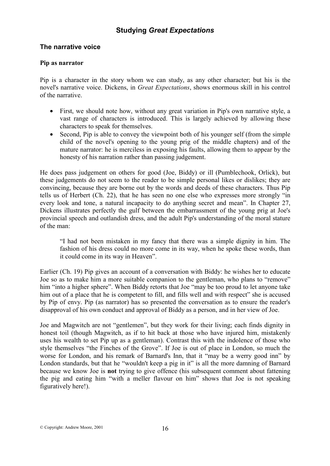### **The narrative voice**

### **Pip as narrator**

Pip is a character in the story whom we can study, as any other character; but his is the novel's narrative voice. Dickens, in *Great Expectations*, shows enormous skill in his control of the narrative.

- First, we should note how, without any great variation in Pip's own narrative style, a vast range of characters is introduced. This is largely achieved by allowing these characters to speak for themselves.
- Second, Pip is able to convey the viewpoint both of his younger self (from the simple child of the novel's opening to the young prig of the middle chapters) and of the mature narrator: he is merciless in exposing his faults, allowing them to appear by the honesty of his narration rather than passing judgement.

He does pass judgement on others for good (Joe, Biddy) or ill (Pumblechook, Orlick), but these judgements do not seem to the reader to be simple personal likes or dislikes; they are convincing, because they are borne out by the words and deeds of these characters. Thus Pip tells us of Herbert (Ch. 22), that he has seen no one else who expresses more strongly "in every look and tone, a natural incapacity to do anything secret and mean". In Chapter 27, Dickens illustrates perfectly the gulf between the embarrassment of the young prig at Joe's provincial speech and outlandish dress, and the adult Pip's understanding of the moral stature of the man:

"I had not been mistaken in my fancy that there was a simple dignity in him. The fashion of his dress could no more come in its way, when he spoke these words, than it could come in its way in Heaven".

Earlier (Ch. 19) Pip gives an account of a conversation with Biddy: he wishes her to educate Joe so as to make him a more suitable companion to the gentleman, who plans to "remove" him "into a higher sphere". When Biddy retorts that Joe "may be too proud to let anyone take him out of a place that he is competent to fill, and fills well and with respect" she is accused by Pip of envy. Pip (as narrator) has so presented the conversation as to ensure the reader's disapproval of his own conduct and approval of Biddy as a person, and in her view of Joe.

Joe and Magwitch are not "gentlemen", but they work for their living; each finds dignity in honest toil (though Magwitch, as if to hit back at those who have injured him, mistakenly uses his wealth to set Pip up as a gentleman). Contrast this with the indolence of those who style themselves "the Finches of the Grove". If Joe is out of place in London, so much the worse for London, and his remark of Barnard's Inn, that it "may be a werry good inn" by London standards, but that he "wouldn't keep a pig in it" is all the more damning of Barnard because we know Joe is **not** trying to give offence (his subsequent comment about fattening the pig and eating him "with a meller flavour on him" shows that Joe is not speaking figuratively here!).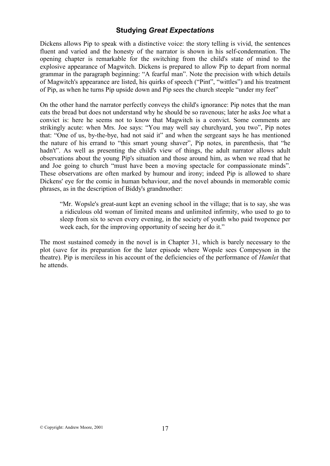Dickens allows Pip to speak with a distinctive voice: the story telling is vivid, the sentences fluent and varied and the honesty of the narrator is shown in his self-condemnation. The opening chapter is remarkable for the switching from the child's state of mind to the explosive appearance of Magwitch. Dickens is prepared to allow Pip to depart from normal grammar in the paragraph beginning: "A fearful man". Note the precision with which details of Magwitch's appearance are listed, his quirks of speech ("Pint", "wittles") and his treatment of Pip, as when he turns Pip upside down and Pip sees the church steeple "under my feet"

On the other hand the narrator perfectly conveys the child's ignorance: Pip notes that the man eats the bread but does not understand why he should be so ravenous; later he asks Joe what a convict is: here he seems not to know that Magwitch is a convict. Some comments are strikingly acute: when Mrs. Joe says: "You may well say churchyard, you two", Pip notes that: "One of us, by-the-bye, had not said it" and when the sergeant says he has mentioned the nature of his errand to "this smart young shaver", Pip notes, in parenthesis, that "he hadn't". As well as presenting the child's view of things, the adult narrator allows adult observations about the young Pip's situation and those around him, as when we read that he and Joe going to church "must have been a moving spectacle for compassionate minds". These observations are often marked by humour and irony; indeed Pip is allowed to share Dickens' eye for the comic in human behaviour, and the novel abounds in memorable comic phrases, as in the description of Biddy's grandmother:

"Mr. Wopsle's great-aunt kept an evening school in the village; that is to say, she was a ridiculous old woman of limited means and unlimited infirmity, who used to go to sleep from six to seven every evening, in the society of youth who paid twopence per week each, for the improving opportunity of seeing her do it."

The most sustained comedy in the novel is in Chapter 31, which is barely necessary to the plot (save for its preparation for the later episode where Wopsle sees Compeyson in the theatre). Pip is merciless in his account of the deficiencies of the performance of *Hamlet* that he attends.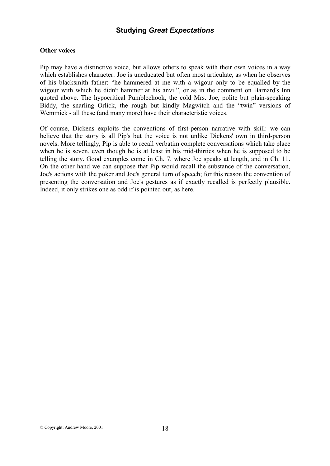### **Other voices**

Pip may have a distinctive voice, but allows others to speak with their own voices in a way which establishes character: Joe is uneducated but often most articulate, as when he observes of his blacksmith father: "he hammered at me with a wigour only to be equalled by the wigour with which he didn't hammer at his anvil", or as in the comment on Barnard's Inn quoted above. The hypocritical Pumblechook, the cold Mrs. Joe, polite but plain-speaking Biddy, the snarling Orlick, the rough but kindly Magwitch and the "twin" versions of Wemmick - all these (and many more) have their characteristic voices.

Of course, Dickens exploits the conventions of first-person narrative with skill: we can believe that the story is all Pip's but the voice is not unlike Dickens' own in third-person novels. More tellingly, Pip is able to recall verbatim complete conversations which take place when he is seven, even though he is at least in his mid-thirties when he is supposed to be telling the story. Good examples come in Ch. 7, where Joe speaks at length, and in Ch. 11. On the other hand we can suppose that Pip would recall the substance of the conversation, Joe's actions with the poker and Joe's general turn of speech; for this reason the convention of presenting the conversation and Joe's gestures as if exactly recalled is perfectly plausible. Indeed, it only strikes one as odd if is pointed out, as here.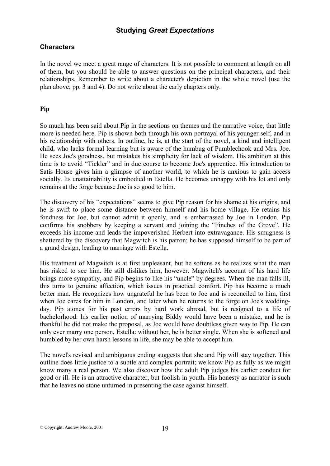### **Characters**

In the novel we meet a great range of characters. It is not possible to comment at length on all of them, but you should be able to answer questions on the principal characters, and their relationships. Remember to write about a character's depiction in the whole novel (use the plan above; pp. 3 and 4). Do not write about the early chapters only.

### **Pip**

So much has been said about Pip in the sections on themes and the narrative voice, that little more is needed here. Pip is shown both through his own portrayal of his younger self, and in his relationship with others. In outline, he is, at the start of the novel, a kind and intelligent child, who lacks formal learning but is aware of the humbug of Pumblechook and Mrs. Joe. He sees Joe's goodness, but mistakes his simplicity for lack of wisdom. His ambition at this time is to avoid "Tickler" and in due course to become Joe's apprentice. His introduction to Satis House gives him a glimpse of another world, to which he is anxious to gain access socially. Its unattainability is embodied in Estella. He becomes unhappy with his lot and only remains at the forge because Joe is so good to him.

The discovery of his "expectations" seems to give Pip reason for his shame at his origins, and he is swift to place some distance between himself and his home village. He retains his fondness for Joe, but cannot admit it openly, and is embarrassed by Joe in London. Pip confirms his snobbery by keeping a servant and joining the "Finches of the Grove". He exceeds his income and leads the impoverished Herbert into extravagance. His smugness is shattered by the discovery that Magwitch is his patron; he has supposed himself to be part of a grand design, leading to marriage with Estella.

His treatment of Magwitch is at first unpleasant, but he softens as he realizes what the man has risked to see him. He still dislikes him, however. Magwitch's account of his hard life brings more sympathy, and Pip begins to like his "uncle" by degrees. When the man falls ill, this turns to genuine affection, which issues in practical comfort. Pip has become a much better man. He recognizes how ungrateful he has been to Joe and is reconciled to him, first when Joe cares for him in London, and later when he returns to the forge on Joe's weddingday. Pip atones for his past errors by hard work abroad, but is resigned to a life of bachelorhood: his earlier notion of marrying Biddy would have been a mistake, and he is thankful he did not make the proposal, as Joe would have doubtless given way to Pip. He can only ever marry one person, Estella: without her, he is better single. When she is softened and humbled by her own harsh lessons in life, she may be able to accept him.

The novel's revised and ambiguous ending suggests that she and Pip will stay together. This outline does little justice to a subtle and complex portrait; we know Pip as fully as we might know many a real person. We also discover how the adult Pip judges his earlier conduct for good or ill. He is an attractive character, but foolish in youth. His honesty as narrator is such that he leaves no stone unturned in presenting the case against himself.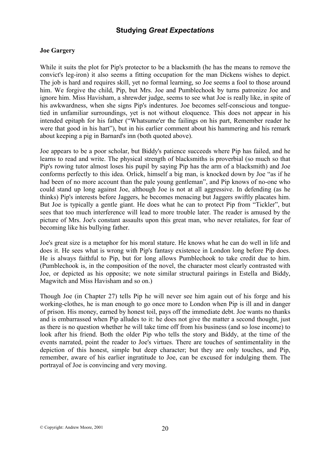### **Joe Gargery**

While it suits the plot for Pip's protector to be a blacksmith (he has the means to remove the convict's leg-iron) it also seems a fitting occupation for the man Dickens wishes to depict. The job is hard and requires skill, yet no formal learning, so Joe seems a fool to those around him. We forgive the child, Pip, but Mrs. Joe and Pumblechook by turns patronize Joe and ignore him. Miss Havisham, a shrewder judge, seems to see what Joe is really like, in spite of his awkwardness, when she signs Pip's indentures. Joe becomes self-conscious and tonguetied in unfamiliar surroundings, yet is not without eloquence. This does not appear in his intended epitaph for his father ("Whatsume'er the failings on his part, Remember reader he were that good in his hart"), but in his earlier comment about his hammering and his remark about keeping a pig in Barnard's inn (both quoted above).

Joe appears to be a poor scholar, but Biddy's patience succeeds where Pip has failed, and he learns to read and write. The physical strength of blacksmiths is proverbial (so much so that Pip's rowing tutor almost loses his pupil by saying Pip has the arm of a blacksmith) and Joe conforms perfectly to this idea. Orlick, himself a big man, is knocked down by Joe "as if he had been of no more account than the pale young gentleman", and Pip knows of no-one who could stand up long against Joe, although Joe is not at all aggressive. In defending (as he thinks) Pip's interests before Jaggers, he becomes menacing but Jaggers swiftly placates him. But Joe is typically a gentle giant. He does what he can to protect Pip from "Tickler", but sees that too much interference will lead to more trouble later. The reader is amused by the picture of Mrs. Joe's constant assaults upon this great man, who never retaliates, for fear of becoming like his bullying father.

Joe's great size is a metaphor for his moral stature. He knows what he can do well in life and does it. He sees what is wrong with Pip's fantasy existence in London long before Pip does. He is always faithful to Pip, but for long allows Pumblechook to take credit due to him. (Pumblechook is, in the composition of the novel, the character most clearly contrasted with Joe, or depicted as his opposite; we note similar structural pairings in Estella and Biddy, Magwitch and Miss Havisham and so on.)

Though Joe (in Chapter 27) tells Pip he will never see him again out of his forge and his working-clothes, he is man enough to go once more to London when Pip is ill and in danger of prison. His money, earned by honest toil, pays off the immediate debt. Joe wants no thanks and is embarrassed when Pip alludes to it: he does not give the matter a second thought, just as there is no question whether he will take time off from his business (and so lose income) to look after his friend. Both the older Pip who tells the story and Biddy, at the time of the events narrated, point the reader to Joe's virtues. There are touches of sentimentality in the depiction of this honest, simple but deep character; but they are only touches, and Pip, remember, aware of his earlier ingratitude to Joe, can be excused for indulging them. The portrayal of Joe is convincing and very moving.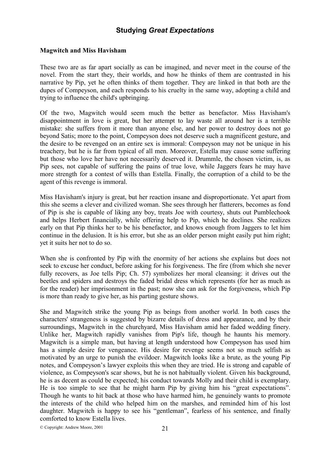### **Magwitch and Miss Havisham**

These two are as far apart socially as can be imagined, and never meet in the course of the novel. From the start they, their worlds, and how he thinks of them are contrasted in his narrative by Pip, yet he often thinks of them together. They are linked in that both are the dupes of Compeyson, and each responds to his cruelty in the same way, adopting a child and trying to influence the child's upbringing.

Of the two, Magwitch would seem much the better as benefactor. Miss Havisham's disappointment in love is great, but her attempt to lay waste all around her is a terrible mistake: she suffers from it more than anyone else, and her power to destroy does not go beyond Satis; more to the point, Compeyson does not deserve such a magnificent gesture, and the desire to be revenged on an entire sex is immoral: Compeyson may not be unique in his treachery, but he is far from typical of all men. Moreover, Estella may cause some suffering but those who love her have not necessarily deserved it. Drummle, the chosen victim, is, as Pip sees, not capable of suffering the pains of true love, while Jaggers fears he may have more strength for a contest of wills than Estella. Finally, the corruption of a child to be the agent of this revenge is immoral.

Miss Havisham's injury is great, but her reaction insane and disproportionate. Yet apart from this she seems a clever and civilized woman. She sees through her flatterers, becomes as fond of Pip is she is capable of liking any boy, treats Joe with courtesy, shuts out Pumblechook and helps Herbert financially, while offering help to Pip, which he declines. She realizes early on that Pip thinks her to be his benefactor, and knows enough from Jaggers to let him continue in the delusion. It is his error, but she as an older person might easily put him right; yet it suits her not to do so.

When she is confronted by Pip with the enormity of her actions she explains but does not seek to excuse her conduct, before asking for his forgiveness. The fire (from which she never fully recovers, as Joe tells Pip; Ch. 57) symbolizes her moral cleansing: it drives out the beetles and spiders and destroys the faded bridal dress which represents (for her as much as for the reader) her imprisonment in the past; now she can ask for the forgiveness, which Pip is more than ready to give her, as his parting gesture shows.

She and Magwitch strike the young Pip as beings from another world. In both cases the characters' strangeness is suggested by bizarre details of dress and appearance, and by their surroundings, Magwitch in the churchyard, Miss Havisham amid her faded wedding finery. Unlike her, Magwitch rapidly vanishes from Pip's life, though he haunts his memory. Magwitch is a simple man, but having at length understood how Compeyson has used him has a simple desire for vengeance. His desire for revenge seems not so much selfish as motivated by an urge to punish the evildoer. Magwitch looks like a brute, as the young Pip notes, and Compeyson's lawyer exploits this when they are tried. He is strong and capable of violence, as Compeyson's scar shows, but he is not habitually violent. Given his background, he is as decent as could be expected; his conduct towards Molly and their child is exemplary. He is too simple to see that he might harm Pip by giving him his "great expectations". Though he wants to hit back at those who have harmed him, he genuinely wants to promote the interests of the child who helped him on the marshes, and reminded him of his lost daughter. Magwitch is happy to see his "gentleman", fearless of his sentence, and finally comforted to know Estella lives.

© Copyright: Andrew Moore, 2001 21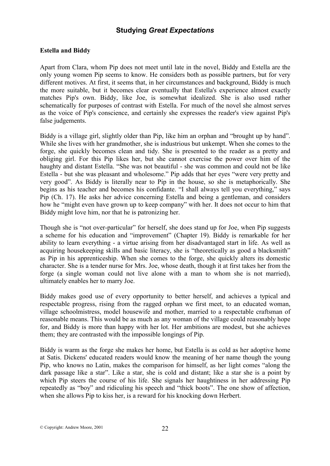### **Estella and Biddy**

Apart from Clara, whom Pip does not meet until late in the novel, Biddy and Estella are the only young women Pip seems to know. He considers both as possible partners, but for very different motives. At first, it seems that, in her circumstances and background, Biddy is much the more suitable, but it becomes clear eventually that Estella's experience almost exactly matches Pip's own. Biddy, like Joe, is somewhat idealized. She is also used rather schematically for purposes of contrast with Estella. For much of the novel she almost serves as the voice of Pip's conscience, and certainly she expresses the reader's view against Pip's false judgements.

Biddy is a village girl, slightly older than Pip, like him an orphan and "brought up by hand". While she lives with her grandmother, she is industrious but unkempt. When she comes to the forge, she quickly becomes clean and tidy. She is presented to the reader as a pretty and obliging girl. For this Pip likes her, but she cannot exercise the power over him of the haughty and distant Estella. "She was not beautiful - she was common and could not be like Estella - but she was pleasant and wholesome." Pip adds that her eyes "were very pretty and very good". As Biddy is literally near to Pip in the house, so she is metaphorically. She begins as his teacher and becomes his confidante. "I shall always tell you everything," says Pip (Ch. 17). He asks her advice concerning Estella and being a gentleman, and considers how he "might even have grown up to keep company" with her. It does not occur to him that Biddy might love him, nor that he is patronizing her.

Though she is "not over-particular" for herself, she does stand up for Joe, when Pip suggests a scheme for his education and "improvement" (Chapter 19). Biddy is remarkable for her ability to learn everything - a virtue arising from her disadvantaged start in life. As well as acquiring housekeeping skills and basic literacy, she is "theoretically as good a blacksmith" as Pip in his apprenticeship. When she comes to the forge, she quickly alters its domestic character. She is a tender nurse for Mrs. Joe, whose death, though it at first takes her from the forge (a single woman could not live alone with a man to whom she is not married), ultimately enables her to marry Joe.

Biddy makes good use of every opportunity to better herself, and achieves a typical and respectable progress, rising from the ragged orphan we first meet, to an educated woman, village schoolmistress, model housewife and mother, married to a respectable craftsman of reasonable means. This would be as much as any woman of the village could reasonably hope for, and Biddy is more than happy with her lot. Her ambitions are modest, but she achieves them; they are contrasted with the impossible longings of Pip.

Biddy is warm as the forge she makes her home, but Estella is as cold as her adoptive home at Satis. Dickens' educated readers would know the meaning of her name though the young Pip, who knows no Latin, makes the comparison for himself, as her light comes "along the dark passage like a star". Like a star, she is cold and distant; like a star she is a point by which Pip steers the course of his life. She signals her haughtiness in her addressing Pip repeatedly as "boy" and ridiculing his speech and "thick boots". The one show of affection, when she allows Pip to kiss her, is a reward for his knocking down Herbert.

© Copyright: Andrew Moore, 2001 22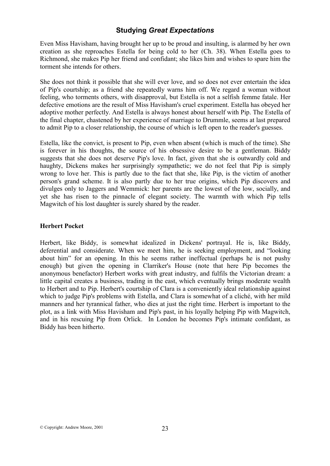Even Miss Havisham, having brought her up to be proud and insulting, is alarmed by her own creation as she reproaches Estella for being cold to her (Ch. 38). When Estella goes to Richmond, she makes Pip her friend and confidant; she likes him and wishes to spare him the torment she intends for others.

She does not think it possible that she will ever love, and so does not ever entertain the idea of Pip's courtship; as a friend she repeatedly warns him off. We regard a woman without feeling, who torments others, with disapproval, but Estella is not a selfish femme fatale. Her defective emotions are the result of Miss Havisham's cruel experiment. Estella has obeyed her adoptive mother perfectly. And Estella is always honest about herself with Pip. The Estella of the final chapter, chastened by her experience of marriage to Drummle, seems at last prepared to admit Pip to a closer relationship, the course of which is left open to the reader's guesses.

Estella, like the convict, is present to Pip, even when absent (which is much of the time). She is forever in his thoughts, the source of his obsessive desire to be a gentleman. Biddy suggests that she does not deserve Pip's love. In fact, given that she is outwardly cold and haughty, Dickens makes her surprisingly sympathetic; we do not feel that Pip is simply wrong to love her. This is partly due to the fact that she, like Pip, is the victim of another person's grand scheme. It is also partly due to her true origins, which Pip discovers and divulges only to Jaggers and Wemmick: her parents are the lowest of the low, socially, and yet she has risen to the pinnacle of elegant society. The warmth with which Pip tells Magwitch of his lost daughter is surely shared by the reader.

### **Herbert Pocket**

Herbert, like Biddy, is somewhat idealized in Dickens' portrayal. He is, like Biddy, deferential and considerate. When we meet him, he is seeking employment, and "looking about him" for an opening. In this he seems rather ineffectual (perhaps he is not pushy enough) but given the opening in Clarriker's House (note that here Pip becomes the anonymous benefactor) Herbert works with great industry, and fulfils the Victorian dream: a little capital creates a business, trading in the east, which eventually brings moderate wealth to Herbert and to Pip. Herbert's courtship of Clara is a conveniently ideal relationship against which to judge Pip's problems with Estella, and Clara is somewhat of a cliché, with her mild manners and her tyrannical father, who dies at just the right time. Herbert is important to the plot, as a link with Miss Havisham and Pip's past, in his loyally helping Pip with Magwitch, and in his rescuing Pip from Orlick. In London he becomes Pip's intimate confidant, as Biddy has been hitherto.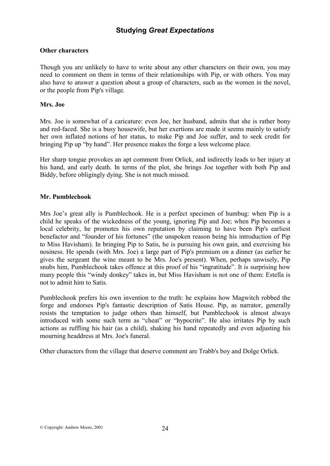### **Other characters**

Though you are unlikely to have to write about any other characters on their own, you may need to comment on them in terms of their relationships with Pip, or with others. You may also have to answer a question about a group of characters, such as the women in the novel, or the people from Pip's village.

### **Mrs. Joe**

Mrs. Joe is somewhat of a caricature: even Joe, her husband, admits that she is rather bony and red-faced. She is a busy housewife, but her exertions are made it seems mainly to satisfy her own inflated notions of her status, to make Pip and Joe suffer, and to seek credit for bringing Pip up "by hand". Her presence makes the forge a less welcome place.

Her sharp tongue provokes an apt comment from Orlick, and indirectly leads to her injury at his hand, and early death. In terms of the plot, she brings Joe together with both Pip and Biddy, before obligingly dying. She is not much missed.

### **Mr. Pumblechook**

Mrs Joe's great ally is Pumblechook. He is a perfect specimen of humbug: when Pip is a child he speaks of the wickedness of the young, ignoring Pip and Joe; when Pip becomes a local celebrity, he promotes his own reputation by claiming to have been Pip's earliest benefactor and "founder of his fortunes" (the unspoken reason being his introduction of Pip to Miss Havisham). In bringing Pip to Satis, he is pursuing his own gain, and exercising his nosiness. He spends (with Mrs. Joe) a large part of Pip's premium on a dinner (as earlier he gives the sergeant the wine meant to be Mrs. Joe's present). When, perhaps unwisely, Pip snubs him, Pumblechook takes offence at this proof of his "ingratitude". It is surprising how many people this "windy donkey" takes in, but Miss Havisham is not one of them: Estella is not to admit him to Satis.

Pumblechook prefers his own invention to the truth: he explains how Magwitch robbed the forge and endorses Pip's fantastic description of Satis House. Pip, as narrator, generally resists the temptation to judge others than himself, but Pumblechook is almost always introduced with some such term as "cheat" or "hypocrite". He also irritates Pip by such actions as ruffling his hair (as a child), shaking his hand repeatedly and even adjusting his mourning headdress at Mrs. Joe's funeral.

Other characters from the village that deserve comment are Trabb's boy and Dolge Orlick.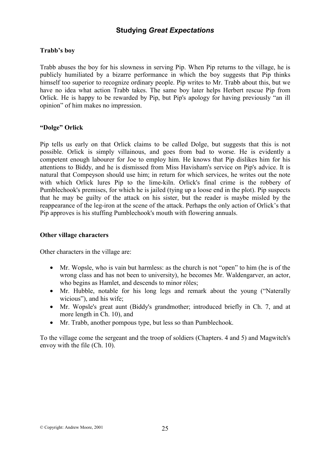### **Trabb's boy**

Trabb abuses the boy for his slowness in serving Pip. When Pip returns to the village, he is publicly humiliated by a bizarre performance in which the boy suggests that Pip thinks himself too superior to recognize ordinary people. Pip writes to Mr. Trabb about this, but we have no idea what action Trabb takes. The same boy later helps Herbert rescue Pip from Orlick. He is happy to be rewarded by Pip, but Pip's apology for having previously "an ill opinion" of him makes no impression.

### **"Dolge" Orlick**

Pip tells us early on that Orlick claims to be called Dolge, but suggests that this is not possible. Orlick is simply villainous, and goes from bad to worse. He is evidently a competent enough labourer for Joe to employ him. He knows that Pip dislikes him for his attentions to Biddy, and he is dismissed from Miss Havisham's service on Pip's advice. It is natural that Compeyson should use him; in return for which services, he writes out the note with which Orlick lures Pip to the lime-kiln. Orlick's final crime is the robbery of Pumblechook's premises, for which he is jailed (tying up a loose end in the plot). Pip suspects that he may be guilty of the attack on his sister, but the reader is maybe misled by the reappearance of the leg-iron at the scene of the attack. Perhaps the only action of Orlick's that Pip approves is his stuffing Pumblechook's mouth with flowering annuals.

#### **Other village characters**

Other characters in the village are:

- Mr. Wopsle, who is vain but harmless: as the church is not "open" to him (he is of the wrong class and has not been to university), he becomes Mr. Waldengarver, an actor, who begins as Hamlet, and descends to minor rôles;
- Mr. Hubble, notable for his long legs and remark about the young ("Naterally wicious"), and his wife;
- Mr. Wopsle's great aunt (Biddy's grandmother; introduced briefly in Ch. 7, and at more length in Ch. 10), and
- Mr. Trabb, another pompous type, but less so than Pumblechook.

To the village come the sergeant and the troop of soldiers (Chapters. 4 and 5) and Magwitch's envoy with the file (Ch. 10).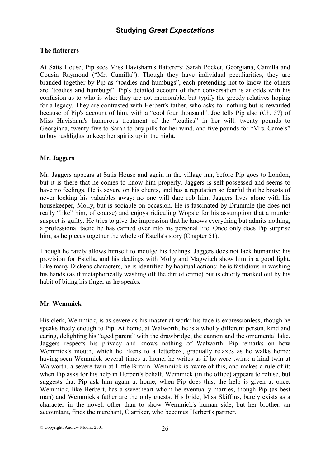### **The flatterers**

At Satis House, Pip sees Miss Havisham's flatterers: Sarah Pocket, Georgiana, Camilla and Cousin Raymond ("Mr. Camilla"). Though they have individual peculiarities, they are branded together by Pip as "toadies and humbugs", each pretending not to know the others are "toadies and humbugs". Pip's detailed account of their conversation is at odds with his confusion as to who is who: they are not memorable, but typify the greedy relatives hoping for a legacy. They are contrasted with Herbert's father, who asks for nothing but is rewarded because of Pip's account of him, with a "cool four thousand". Joe tells Pip also (Ch. 57) of Miss Havisham's humorous treatment of the "toadies" in her will: twenty pounds to Georgiana, twenty-five to Sarah to buy pills for her wind, and five pounds for "Mrs. Camels" to buy rushlights to keep her spirits up in the night.

### **Mr. Jaggers**

Mr. Jaggers appears at Satis House and again in the village inn, before Pip goes to London, but it is there that he comes to know him properly. Jaggers is self-possessed and seems to have no feelings. He is severe on his clients, and has a reputation so fearful that he boasts of never locking his valuables away: no one will dare rob him. Jaggers lives alone with his housekeeper, Molly, but is sociable on occasion. He is fascinated by Drummle (he does not really "like" him, of course) and enjoys ridiculing Wopsle for his assumption that a murder suspect is guilty. He tries to give the impression that he knows everything but admits nothing, a professional tactic he has carried over into his personal life. Once only does Pip surprise him, as he pieces together the whole of Estella's story (Chapter 51).

Though he rarely allows himself to indulge his feelings, Jaggers does not lack humanity: his provision for Estella, and his dealings with Molly and Magwitch show him in a good light. Like many Dickens characters, he is identified by habitual actions: he is fastidious in washing his hands (as if metaphorically washing off the dirt of crime) but is chiefly marked out by his habit of biting his finger as he speaks.

### **Mr. Wemmick**

His clerk, Wemmick, is as severe as his master at work: his face is expressionless, though he speaks freely enough to Pip. At home, at Walworth, he is a wholly different person, kind and caring, delighting his "aged parent" with the drawbridge, the cannon and the ornamental lake. Jaggers respects his privacy and knows nothing of Walworth. Pip remarks on how Wemmick's mouth, which he likens to a letterbox, gradually relaxes as he walks home; having seen Wemmick several times at home, he writes as if he were twins: a kind twin at Walworth, a severe twin at Little Britain. Wemmick is aware of this, and makes a rule of it: when Pip asks for his help in Herbert's behalf, Wemmick (in the office) appears to refuse, but suggests that Pip ask him again at home; when Pip does this, the help is given at once. Wemmick, like Herbert, has a sweetheart whom he eventually marries, though Pip (as best man) and Wemmick's father are the only guests. His bride, Miss Skiffins, barely exists as a character in the novel, other than to show Wemmick's human side, but her brother, an accountant, finds the merchant, Clarriker, who becomes Herbert's partner.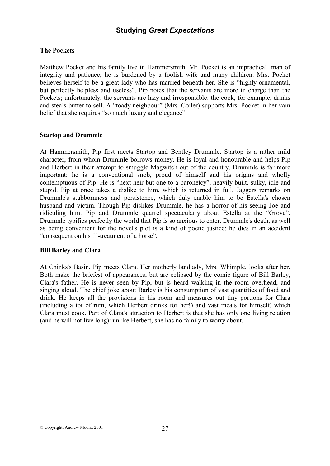### **The Pockets**

Matthew Pocket and his family live in Hammersmith. Mr. Pocket is an impractical man of integrity and patience; he is burdened by a foolish wife and many children. Mrs. Pocket believes herself to be a great lady who has married beneath her. She is "highly ornamental, but perfectly helpless and useless". Pip notes that the servants are more in charge than the Pockets; unfortunately, the servants are lazy and irresponsible: the cook, for example, drinks and steals butter to sell. A "toady neighbour" (Mrs. Coiler) supports Mrs. Pocket in her vain belief that she requires "so much luxury and elegance".

#### **Startop and Drummle**

At Hammersmith, Pip first meets Startop and Bentley Drummle. Startop is a rather mild character, from whom Drummle borrows money. He is loyal and honourable and helps Pip and Herbert in their attempt to smuggle Magwitch out of the country. Drummle is far more important: he is a conventional snob, proud of himself and his origins and wholly contemptuous of Pip. He is "next heir but one to a baronetcy", heavily built, sulky, idle and stupid. Pip at once takes a dislike to him, which is returned in full. Jaggers remarks on Drummle's stubbornness and persistence, which duly enable him to be Estella's chosen husband and victim. Though Pip dislikes Drummle, he has a horror of his seeing Joe and ridiculing him. Pip and Drummle quarrel spectacularly about Estella at the "Grove". Drummle typifies perfectly the world that Pip is so anxious to enter. Drummle's death, as well as being convenient for the novel's plot is a kind of poetic justice: he dies in an accident "consequent on his ill-treatment of a horse".

### **Bill Barley and Clara**

At Chinks's Basin, Pip meets Clara. Her motherly landlady, Mrs. Whimple, looks after her. Both make the briefest of appearances, but are eclipsed by the comic figure of Bill Barley, Clara's father. He is never seen by Pip, but is heard walking in the room overhead, and singing aloud. The chief joke about Barley is his consumption of vast quantities of food and drink. He keeps all the provisions in his room and measures out tiny portions for Clara (including a tot of rum, which Herbert drinks for her!) and vast meals for himself, which Clara must cook. Part of Clara's attraction to Herbert is that she has only one living relation (and he will not live long): unlike Herbert, she has no family to worry about.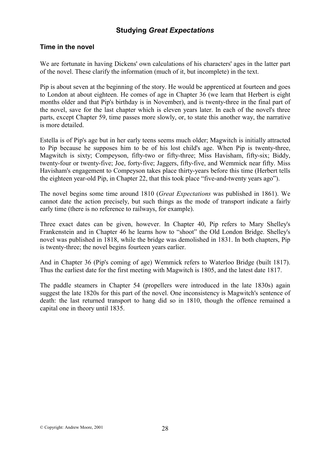### **Time in the novel**

We are fortunate in having Dickens' own calculations of his characters' ages in the latter part of the novel. These clarify the information (much of it, but incomplete) in the text.

Pip is about seven at the beginning of the story. He would be apprenticed at fourteen and goes to London at about eighteen. He comes of age in Chapter 36 (we learn that Herbert is eight months older and that Pip's birthday is in November), and is twenty-three in the final part of the novel, save for the last chapter which is eleven years later. In each of the novel's three parts, except Chapter 59, time passes more slowly, or, to state this another way, the narrative is more detailed.

Estella is of Pip's age but in her early teens seems much older; Magwitch is initially attracted to Pip because he supposes him to be of his lost child's age. When Pip is twenty-three, Magwitch is sixty; Compeyson, fifty-two or fifty-three; Miss Havisham, fifty-six; Biddy, twenty-four or twenty-five; Joe, forty-five; Jaggers, fifty-five, and Wemmick near fifty. Miss Havisham's engagement to Compeyson takes place thirty-years before this time (Herbert tells the eighteen year-old Pip, in Chapter 22, that this took place "five-and-twenty years ago").

The novel begins some time around 1810 (*Great Expectations* was published in 1861). We cannot date the action precisely, but such things as the mode of transport indicate a fairly early time (there is no reference to railways, for example).

Three exact dates can be given, however. In Chapter 40, Pip refers to Mary Shelley's Frankenstein and in Chapter 46 he learns how to "shoot" the Old London Bridge. Shelley's novel was published in 1818, while the bridge was demolished in 1831. In both chapters, Pip is twenty-three; the novel begins fourteen years earlier.

And in Chapter 36 (Pip's coming of age) Wemmick refers to Waterloo Bridge (built 1817). Thus the earliest date for the first meeting with Magwitch is 1805, and the latest date 1817.

The paddle steamers in Chapter 54 (propellers were introduced in the late 1830s) again suggest the late 1820s for this part of the novel. One inconsistency is Magwitch's sentence of death: the last returned transport to hang did so in 1810, though the offence remained a capital one in theory until 1835.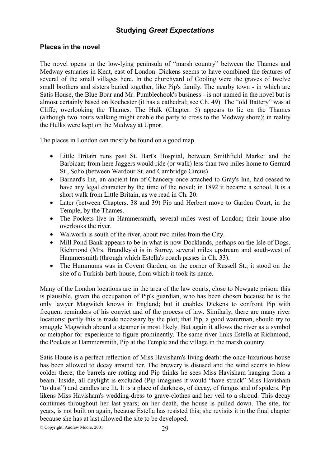### **Places in the novel**

The novel opens in the low-lying peninsula of "marsh country" between the Thames and Medway estuaries in Kent, east of London. Dickens seems to have combined the features of several of the small villages here. In the churchyard of Cooling were the graves of twelve small brothers and sisters buried together, like Pip's family. The nearby town - in which are Satis House, the Blue Boar and Mr. Pumblechook's business - is not named in the novel but is almost certainly based on Rochester (it has a cathedral; see Ch. 49). The "old Battery" was at Cliffe, overlooking the Thames. The Hulk (Chapter. 5) appears to lie on the Thames (although two hours walking might enable the party to cross to the Medway shore); in reality the Hulks were kept on the Medway at Upnor.

The places in London can mostly be found on a good map.

- Little Britain runs past St. Bart's Hospital, between Smithfield Market and the Barbican; from here Jaggers would ride (or walk) less than two miles home to Gerrard St., Soho (between Wardour St. and Cambridge Circus).
- Barnard's Inn, an ancient Inn of Chancery once attached to Gray's Inn, had ceased to have any legal character by the time of the novel; in 1892 it became a school. It is a short walk from Little Britain, as we read in Ch. 20.
- Later (between Chapters. 38 and 39) Pip and Herbert move to Garden Court, in the Temple, by the Thames.
- The Pockets live in Hammersmith, several miles west of London; their house also overlooks the river.
- Walworth is south of the river, about two miles from the City.
- Mill Pond Bank appears to be in what is now Docklands, perhaps on the Isle of Dogs. Richmond (Mrs. Brandley's) is in Surrey, several miles upstream and south-west of Hammersmith (through which Estella's coach passes in Ch. 33).
- The Hummums was in Covent Garden, on the corner of Russell St.; it stood on the site of a Turkish-bath-house, from which it took its name.

Many of the London locations are in the area of the law courts, close to Newgate prison: this is plausible, given the occupation of Pip's guardian, who has been chosen because he is the only lawyer Magwitch knows in England; but it enables Dickens to confront Pip with frequent reminders of his convict and of the process of law. Similarly, there are many river locations: partly this is made necessary by the plot; that Pip, a good waterman, should try to smuggle Magwitch aboard a steamer is most likely. But again it allows the river as a symbol or metaphor for experience to figure prominently. The same river links Estella at Richmond, the Pockets at Hammersmith, Pip at the Temple and the village in the marsh country.

Satis House is a perfect reflection of Miss Havisham's living death: the once-luxurious house has been allowed to decay around her. The brewery is disused and the wind seems to blow colder there; the barrels are rotting and Pip thinks he sees Miss Havisham hanging from a beam. Inside, all daylight is excluded (Pip imagines it would "have struck" Miss Havisham "to dust") and candles are lit. It is a place of darkness, of decay, of fungus and of spiders. Pip likens Miss Havisham's wedding-dress to grave-clothes and her veil to a shroud. This decay continues throughout her last years; on her death, the house is pulled down. The site, for years, is not built on again, because Estella has resisted this; she revisits it in the final chapter because she has at last allowed the site to be developed.